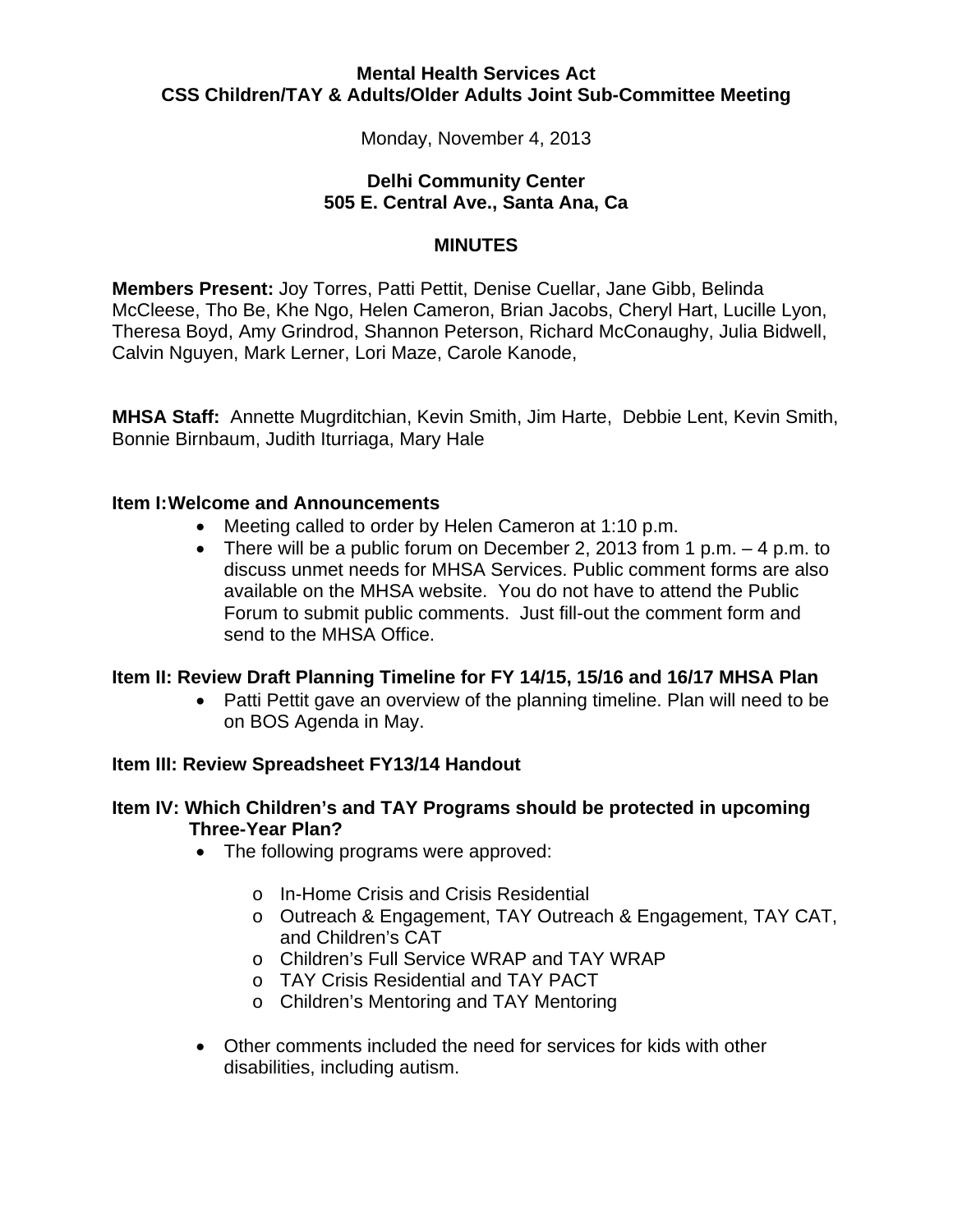#### **Mental Health Services Act CSS Children/TAY & Adults/Older Adults Joint Sub-Committee Meeting**

Monday, November 4, 2013

## **Delhi Community Center 505 E. Central Ave., Santa Ana, Ca**

## **MINUTES**

**Members Present:** Joy Torres, Patti Pettit, Denise Cuellar, Jane Gibb, Belinda McCleese, Tho Be, Khe Ngo, Helen Cameron, Brian Jacobs, Cheryl Hart, Lucille Lyon, Theresa Boyd, Amy Grindrod, Shannon Peterson, Richard McConaughy, Julia Bidwell, Calvin Nguyen, Mark Lerner, Lori Maze, Carole Kanode,

**MHSA Staff:** Annette Mugrditchian, Kevin Smith, Jim Harte, Debbie Lent, Kevin Smith, Bonnie Birnbaum, Judith Iturriaga, Mary Hale

#### **Item I:Welcome and Announcements**

- Meeting called to order by Helen Cameron at 1:10 p.m.
- There will be a public forum on December 2, 2013 from 1 p.m. 4 p.m. to discuss unmet needs for MHSA Services. Public comment forms are also available on the MHSA website. You do not have to attend the Public Forum to submit public comments. Just fill-out the comment form and send to the MHSA Office.

# **Item II: Review Draft Planning Timeline for FY 14/15, 15/16 and 16/17 MHSA Plan**

• Patti Pettit gave an overview of the planning timeline. Plan will need to be on BOS Agenda in May.

#### **Item III: Review Spreadsheet FY13/14 Handout**

## **Item IV: Which Children's and TAY Programs should be protected in upcoming Three-Year Plan?**

- The following programs were approved:
	- o In-Home Crisis and Crisis Residential
	- o Outreach & Engagement, TAY Outreach & Engagement, TAY CAT, and Children's CAT
	- o Children's Full Service WRAP and TAY WRAP
	- o TAY Crisis Residential and TAY PACT
	- o Children's Mentoring and TAY Mentoring
- Other comments included the need for services for kids with other disabilities, including autism.